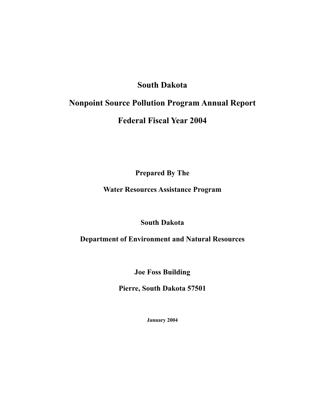# **South Dakota**

# **Nonpoint Source Pollution Program Annual Report**

# **Federal Fiscal Year 2004**

**Prepared By The** 

# **Water Resources Assistance Program**

# **South Dakota**

# **Department of Environment and Natural Resources**

**Joe Foss Building** 

**Pierre, South Dakota 57501** 

**January 2004**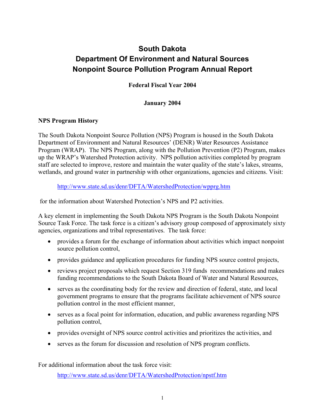# **South Dakota Department Of Environment and Natural Sources Nonpoint Source Pollution Program Annual Report**

**Federal Fiscal Year 2004** 

### **January 2004**

### **NPS Program History**

The South Dakota Nonpoint Source Pollution (NPS) Program is housed in the South Dakota Department of Environment and Natural Resources' (DENR) Water Resources Assistance Program (WRAP). The NPS Program, along with the Pollution Prevention (P2) Program, makes up the WRAP's Watershed Protection activity. NPS pollution activities completed by program staff are selected to improve, restore and maintain the water quality of the state's lakes, streams, wetlands, and ground water in partnership with other organizations, agencies and citizens. Visit:

http://www.state.sd.us/denr/DFTA/WatershedProtection/wpprg.htm

for the information about Watershed Protection's NPS and P2 activities.

A key element in implementing the South Dakota NPS Program is the South Dakota Nonpoint Source Task Force. The task force is a citizen's advisory group composed of approximately sixty agencies, organizations and tribal representatives. The task force:

- provides a forum for the exchange of information about activities which impact nonpoint source pollution control,
- provides guidance and application procedures for funding NPS source control projects,
- reviews project proposals which request Section 319 funds recommendations and makes funding recommendations to the South Dakota Board of Water and Natural Resources,
- serves as the coordinating body for the review and direction of federal, state, and local government programs to ensure that the programs facilitate achievement of NPS source pollution control in the most efficient manner,
- serves as a focal point for information, education, and public awareness regarding NPS pollution control,
- provides oversight of NPS source control activities and prioritizes the activities, and
- serves as the forum for discussion and resolution of NPS program conflicts.

For additional information about the task force visit:

http://www.state.sd.us/denr/DFTA/WatershedProtection/npstf.htm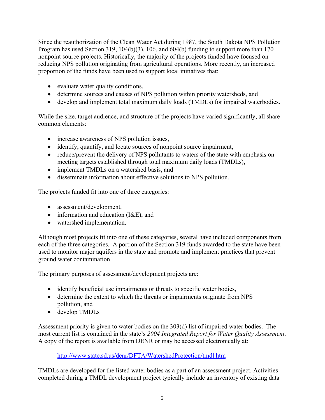Since the reauthorization of the Clean Water Act during 1987, the South Dakota NPS Pollution Program has used Section 319, 104(b)(3), 106, and 604(b) funding to support more than 170 nonpoint source projects. Historically, the majority of the projects funded have focused on reducing NPS pollution originating from agricultural operations. More recently, an increased proportion of the funds have been used to support local initiatives that:

- evaluate water quality conditions,
- determine sources and causes of NPS pollution within priority watersheds, and
- develop and implement total maximum daily loads (TMDLs) for impaired waterbodies.

While the size, target audience, and structure of the projects have varied significantly, all share common elements:

- increase awareness of NPS pollution issues,
- identify, quantify, and locate sources of nonpoint source impairment,
- reduce/prevent the delivery of NPS pollutants to waters of the state with emphasis on meeting targets established through total maximum daily loads (TMDLs),
- implement TMDLs on a watershed basis, and
- disseminate information about effective solutions to NPS pollution.

The projects funded fit into one of three categories:

- assessment/development,
- information and education (I&E), and
- watershed implementation.

Although most projects fit into one of these categories, several have included components from each of the three categories. A portion of the Section 319 funds awarded to the state have been used to monitor major aquifers in the state and promote and implement practices that prevent ground water contamination.

The primary purposes of assessment/development projects are:

- identify beneficial use impairments or threats to specific water bodies,
- determine the extent to which the threats or impairments originate from NPS pollution, and
- develop TMDLs

Assessment priority is given to water bodies on the 303(d) list of impaired water bodies. The most current list is contained in the state's *2004 Integrated Report for Water Quality Assessment*. A copy of the report is available from DENR or may be accessed electronically at:

http://www.state.sd.us/denr/DFTA/WatershedProtection/tmdl.htm

TMDLs are developed for the listed water bodies as a part of an assessment project. Activities completed during a TMDL development project typically include an inventory of existing data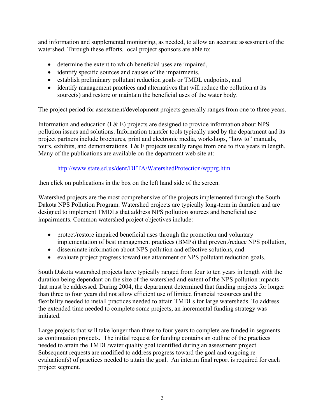and information and supplemental monitoring, as needed, to allow an accurate assessment of the watershed. Through these efforts, local project sponsors are able to:

- determine the extent to which beneficial uses are impaired,
- identify specific sources and causes of the impairments,
- establish preliminary pollutant reduction goals or TMDL endpoints, and
- identify management practices and alternatives that will reduce the pollution at its source(s) and restore or maintain the beneficial uses of the water body.

The project period for assessment/development projects generally ranges from one to three years.

Information and education  $(I \& E)$  projects are designed to provide information about NPS pollution issues and solutions. Information transfer tools typically used by the department and its project partners include brochures, print and electronic media, workshops, "how to" manuals, tours, exhibits, and demonstrations. I & E projects usually range from one to five years in length. Many of the publications are available on the department web site at:

### http://www.state.sd.us/denr/DFTA/WatershedProtection/wpprg.htm

then click on publications in the box on the left hand side of the screen.

Watershed projects are the most comprehensive of the projects implemented through the South Dakota NPS Pollution Program. Watershed projects are typically long-term in duration and are designed to implement TMDLs that address NPS pollution sources and beneficial use impairments. Common watershed project objectives include:

- protect/restore impaired beneficial uses through the promotion and voluntary implementation of best management practices (BMPs) that prevent/reduce NPS pollution,
- disseminate information about NPS pollution and effective solutions, and
- evaluate project progress toward use attainment or NPS pollutant reduction goals.

South Dakota watershed projects have typically ranged from four to ten years in length with the duration being dependant on the size of the watershed and extent of the NPS pollution impacts that must be addressed. During 2004, the department determined that funding projects for longer than three to four years did not allow efficient use of limited financial resources and the flexibility needed to install practices needed to attain TMDLs for large watersheds. To address the extended time needed to complete some projects, an incremental funding strategy was initiated.

Large projects that will take longer than three to four years to complete are funded in segments as continuation projects. The initial request for funding contains an outline of the practices needed to attain the TMDL/water quality goal identified during an assessment project. Subsequent requests are modified to address progress toward the goal and ongoing reevaluation(s) of practices needed to attain the goal. An interim final report is required for each project segment.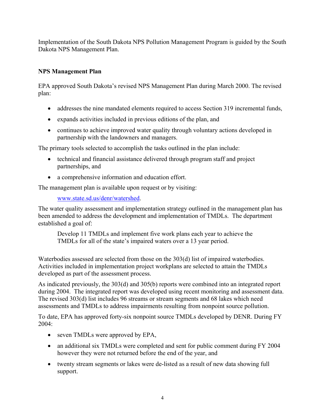Implementation of the South Dakota NPS Pollution Management Program is guided by the South Dakota NPS Management Plan.

### **NPS Management Plan**

EPA approved South Dakota's revised NPS Management Plan during March 2000. The revised plan:

- addresses the nine mandated elements required to access Section 319 incremental funds,
- expands activities included in previous editions of the plan, and
- continues to achieve improved water quality through voluntary actions developed in partnership with the landowners and managers.

The primary tools selected to accomplish the tasks outlined in the plan include:

- technical and financial assistance delivered through program staff and project partnerships, and
- a comprehensive information and education effort.

The management plan is available upon request or by visiting:

www.state.sd.us/denr/watershed.

The water quality assessment and implementation strategy outlined in the management plan has been amended to address the development and implementation of TMDLs. The department established a goal of:

Develop 11 TMDLs and implement five work plans each year to achieve the TMDLs for all of the state's impaired waters over a 13 year period.

Waterbodies assessed are selected from those on the 303(d) list of impaired waterbodies. Activities included in implementation project workplans are selected to attain the TMDLs developed as part of the assessment process.

As indicated previously, the 303(d) and 305(b) reports were combined into an integrated report during 2004. The integrated report was developed using recent monitoring and assessment data. The revised 303(d) list includes 96 streams or stream segments and 68 lakes which need assessments and TMDLs to address impairments resulting from nonpoint source pollution.

To date, EPA has approved forty-six nonpoint source TMDLs developed by DENR. During FY 2004:

- seven TMDLs were approved by EPA,
- an additional six TMDLs were completed and sent for public comment during FY 2004 however they were not returned before the end of the year, and
- twenty stream segments or lakes were de-listed as a result of new data showing full support.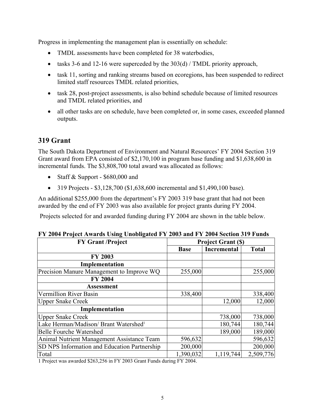Progress in implementing the management plan is essentially on schedule:

- TMDL assessments have been completed for 38 waterbodies,
- tasks 3-6 and 12-16 were superceded by the 303(d) / TMDL priority approach,
- task 11, sorting and ranking streams based on ecoregions, has been suspended to redirect limited staff resources TMDL related priorities,
- task 28, post-project assessments, is also behind schedule because of limited resources and TMDL related priorities, and
- all other tasks are on schedule, have been completed or, in some cases, exceeded planned outputs.

# **319 Grant**

The South Dakota Department of Environment and Natural Resources' FY 2004 Section 319 Grant award from EPA consisted of \$2,170,100 in program base funding and \$1,638,600 in incremental funds. The \$3,808,700 total award was allocated as follows:

- Staff & Support \$680,000 and
- 319 Projects  $$3,128,700$  (\$1,638,600 incremental and \$1,490,100 base).

An additional \$255,000 from the department's FY 2003 319 base grant that had not been awarded by the end of FY 2003 was also available for project grants during FY 2004.

Projects selected for and awarded funding during FY 2004 are shown in the table below.

| <b>FY Grant /Project</b>                          | <b>Project Grant (\$)</b> |             |              |
|---------------------------------------------------|---------------------------|-------------|--------------|
|                                                   | <b>Base</b>               | Incremental | <b>Total</b> |
| <b>FY 2003</b>                                    |                           |             |              |
| Implementation                                    |                           |             |              |
| Precision Manure Management to Improve WQ         | 255,000                   |             | 255,000      |
| <b>FY 2004</b>                                    |                           |             |              |
| <b>Assessment</b>                                 |                           |             |              |
| Vermillion River Basin                            | 338,400                   |             | 338,400      |
| <b>Upper Snake Creek</b>                          |                           | 12,000      | 12,000       |
| Implementation                                    |                           |             |              |
| <b>Upper Snake Creek</b>                          |                           | 738,000     | 738,000      |
| Lake Herman/Madison/ Brant Watershed <sup>1</sup> |                           | 180,744     | 180,744      |
| <b>Belle Fourche Watershed</b>                    |                           | 189,000     | 189,000      |
| Animal Nutrient Management Assistance Team        | 596,632                   |             | 596,632      |
| SD NPS Information and Education Partnership      | 200,000                   |             | 200,000      |
| Total                                             | 1,390,032                 | 1,119,744   | 2,509,776    |

|  |  | FY 2004 Project Awards Using Unobligated FY 2003 and FY 2004 Section 319 Funds |  |  |  |  |
|--|--|--------------------------------------------------------------------------------|--|--|--|--|
|  |  |                                                                                |  |  |  |  |

1 Project was awarded \$263,256 in FY 2003 Grant Funds during FY 2004.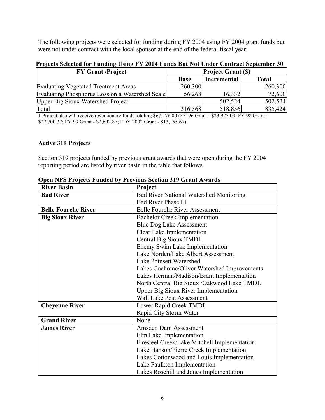The following projects were selected for funding during FY 2004 using FY 2004 grant funds but were not under contract with the local sponsor at the end of the federal fiscal year.

| TTOJECIS SEIECIEU IUI TUNUME USINE TT ZUVT TUNUS DUI IAUI UNUEI CONITACI SEPIEMBEI JU |                           |             |              |  |  |
|---------------------------------------------------------------------------------------|---------------------------|-------------|--------------|--|--|
| <b>FY Grant /Project</b>                                                              | <b>Project Grant (\$)</b> |             |              |  |  |
|                                                                                       | <b>Base</b>               | Incremental | <b>Total</b> |  |  |
| Evaluating Vegetated Treatment Areas                                                  | 260,300                   |             | 260,300      |  |  |
| Evaluating Phosphorus Loss on a Watershed Scale                                       | 56,268                    | 16,332      | 72,600       |  |  |
| Upper Big Sioux Watershed Project <sup>1</sup>                                        |                           | 502,524     | 502,524      |  |  |
| Total                                                                                 | 316,568                   | 518,856     | 835,424      |  |  |

# **Projects Selected for Funding Using FY 2004 Funds But Not Under Contract September 30**

1 Project also will receive reversionary funds totaling \$67,476.00 (FY 96 Grant - \$23,927.09; FY 98 Grant - \$27,700.37; FY 99 Grant - \$2,692.87; FDY 2002 Grant - \$13,155.67).

### **Active 319 Projects**

Section 319 projects funded by previous grant awards that were open during the FY 2004 reporting period are listed by river basin in the table that follows.

| <b>River Basin</b>         | Project                                        |
|----------------------------|------------------------------------------------|
| <b>Bad River</b>           | <b>Bad River National Watershed Monitoring</b> |
|                            | <b>Bad River Phase III</b>                     |
| <b>Belle Fourche River</b> | <b>Belle Fourche River Assessment</b>          |
| <b>Big Sioux River</b>     | <b>Bachelor Creek Implementation</b>           |
|                            | <b>Blue Dog Lake Assessment</b>                |
|                            | Clear Lake Implementation                      |
|                            | Central Big Sioux TMDL                         |
|                            | Enemy Swim Lake Implementation                 |
|                            | Lake Norden/Lake Albert Assessment             |
|                            | Lake Poinsett Watershed                        |
|                            | Lakes Cochrane/Oliver Watershed Improvements   |
|                            | Lakes Herman/Madison/Brant Implementation      |
|                            | North Central Big Sioux /Oakwood Lake TMDL     |
|                            | <b>Upper Big Sioux River Implementation</b>    |
|                            | <b>Wall Lake Post Assessment</b>               |
| <b>Cheyenne River</b>      | Lower Rapid Creek TMDL                         |
|                            | Rapid City Storm Water                         |
| <b>Grand River</b>         | None                                           |
| <b>James River</b>         | Amsden Dam Assessment                          |
|                            | Elm Lake Implementation                        |
|                            | Firesteel Creek/Lake Mitchell Implementation   |
|                            | Lake Hanson/Pierre Creek Implementation        |
|                            | Lakes Cottonwood and Louis Implementation      |
|                            | Lake Faulkton Implementation                   |
|                            | Lakes Rosehill and Jones Implementation        |

**Open NPS Projects Funded by Previous Section 319 Grant Awards**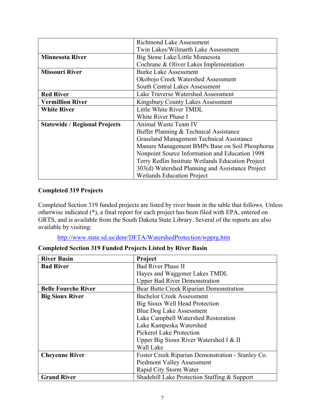|                                      | <b>Richmond Lake Assessment</b>                   |
|--------------------------------------|---------------------------------------------------|
|                                      | Twin Lakes/Wilmarth Lake Assessment               |
| <b>Minnesota River</b>               | Big Stone Lake/Little Minnesota                   |
|                                      | Cochrane & Oliver Lakes Implementation            |
| <b>Missouri River</b>                | <b>Burke Lake Assessment</b>                      |
|                                      | Okobojo Creek Watershed Assessment                |
|                                      | <b>South Central Lakes Assessment</b>             |
| <b>Red River</b>                     | <b>Lake Traverse Watershed Assessment</b>         |
| <b>Vermillion River</b>              | Kingsbury County Lakes Assessment                 |
| <b>White River</b>                   | Little White River TMDL                           |
|                                      | White River Phase I                               |
| <b>Statewide / Regional Projects</b> | Animal Waste Team IV                              |
|                                      | Buffer Planning & Technical Assistance            |
|                                      | <b>Grassland Management Technical Assistance</b>  |
|                                      | Manure Management BMPs Base on Soil Phosphorus    |
|                                      | Nonpoint Source Information and Education 1998    |
|                                      | Terry Redlin Institute Wetlands Education Project |
|                                      | 303(d) Watershed Planning and Assistance Project  |
|                                      | <b>Wetlands Education Project</b>                 |

### **Completed 319 Projects**

Completed Section 319 funded projects are listed by river basin in the table that follows. Unless otherwise indicated (\*), a final report for each project has been filed with EPA, entered on GRTS, and is available from the South Dakota State Library. Several of the reports are also available by visiting:

http://www.state.sd.us/denr/DFTA/WatershedProtection/wpprg.htm

| <b>River Basin</b>         | Project                                           |
|----------------------------|---------------------------------------------------|
| <b>Bad River</b>           | <b>Bad River Phase II</b>                         |
|                            | Hayes and Waggoner Lakes TMDL                     |
|                            | <b>Upper Bad River Demonstration</b>              |
| <b>Belle Fourche River</b> | Bear Butte Creek Riparian Demonstration           |
| <b>Big Sioux River</b>     | <b>Bachelor Creek Assessment</b>                  |
|                            | Big Sioux Well Head Protection                    |
|                            | <b>Blue Dog Lake Assessment</b>                   |
|                            | Lake Campbell Watershed Restoration               |
|                            | Lake Kampeska Watershed                           |
|                            | <b>Pickerel Lake Protection</b>                   |
|                            | Upper Big Sioux River Watershed I & II            |
|                            | Wall Lake                                         |
| <b>Cheyenne River</b>      | Foster Creek Riparian Demonstration - Stanley Co. |
|                            | <b>Piedmont Valley Assessment</b>                 |
|                            | Rapid City Storm Water                            |
| <b>Grand River</b>         | Shadehill Lake Protection Staffing & Support      |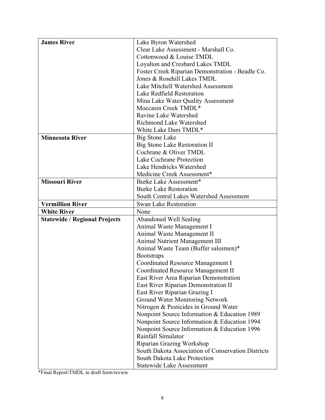| <b>James River</b>                   | Lake Byron Watershed                               |
|--------------------------------------|----------------------------------------------------|
|                                      | Clear Lake Assessment - Marshall Co.               |
|                                      | Cottonwood & Louise TMDL                           |
|                                      | Loyalton and Cresbard Lakes TMDL                   |
|                                      | Foster Creek Riparian Demonstration - Beadle Co.   |
|                                      | Jones & Rosehill Lakes TMDL                        |
|                                      | Lake Mitchell Watershed Assessment                 |
|                                      | Lake Redfield Restoration                          |
|                                      | Mina Lake Water Quality Assessment                 |
|                                      | Moccasin Creek TMDL*                               |
|                                      | Ravine Lake Watershed                              |
|                                      | <b>Richmond Lake Watershed</b>                     |
|                                      | White Lake Dam TMDL*                               |
| <b>Minnesota River</b>               | <b>Big Stone Lake</b>                              |
|                                      | <b>Big Stone Lake Restoration II</b>               |
|                                      | Cochrane & Oliver TMDL                             |
|                                      | Lake Cochrane Protection                           |
|                                      | Lake Hendricks Watershed                           |
|                                      | Medicine Creek Assessment*                         |
| <b>Missouri River</b>                | Burke Lake Assessment*                             |
|                                      | <b>Burke Lake Restoration</b>                      |
|                                      | South Central Lakes Watershed Assessment           |
| <b>Vermillion River</b>              | <b>Swan Lake Restoration</b>                       |
| <b>White River</b>                   | None                                               |
| <b>Statewide / Regional Projects</b> | <b>Abandoned Well Sealing</b>                      |
|                                      | Animal Waste Management I                          |
|                                      | Animal Waste Management II                         |
|                                      | <b>Animal Nutrient Management III</b>              |
|                                      | Animal Waste Team (Buffer salesmen)*               |
|                                      | <b>Bootstraps</b>                                  |
|                                      | <b>Coordinated Resource Management I</b>           |
|                                      | Coordinated Resource Management II                 |
|                                      | East River Area Riparian Demonstration             |
|                                      | East River Riparian Demonstration II               |
|                                      | East River Riparian Grazing I                      |
|                                      | Ground Water Monitoring Network                    |
|                                      | Nitrogen & Pesticides in Ground Water              |
|                                      |                                                    |
|                                      | Nonpoint Source Information & Education 1989       |
|                                      | Nonpoint Source Information & Education 1994       |
|                                      | Nonpoint Source Information & Education 1996       |
|                                      | Rainfall Simulator                                 |
|                                      | Riparian Grazing Workshop                          |
|                                      | South Dakota Association of Conservation Districts |
|                                      | South Dakota Lake Protection                       |

\*Final Report/TMDL in draft form/review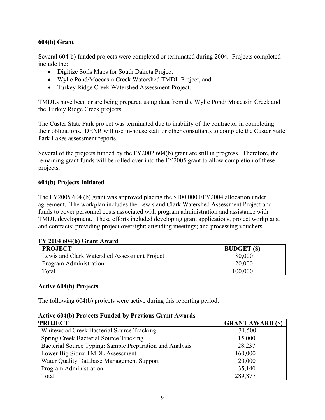### **604(b) Grant**

Several 604(b) funded projects were completed or terminated during 2004. Projects completed include the:

- Digitize Soils Maps for South Dakota Project
- Wylie Pond/Moccasin Creek Watershed TMDL Project, and
- Turkey Ridge Creek Watershed Assessment Project.

TMDLs have been or are being prepared using data from the Wylie Pond/ Moccasin Creek and the Turkey Ridge Creek projects.

The Custer State Park project was terminated due to inability of the contractor in completing their obligations. DENR will use in-house staff or other consultants to complete the Custer State Park Lakes assessment reports.

Several of the projects funded by the FY2002 604(b) grant are still in progress. Therefore, the remaining grant funds will be rolled over into the FY2005 grant to allow completion of these projects.

### **604(b) Projects Initiated**

The FY2005 604 (b) grant was approved placing the \$100,000 FFY2004 allocation under agreement. The workplan includes the Lewis and Clark Watershed Assessment Project and funds to cover personnel costs associated with program administration and assistance with TMDL development. These efforts included developing grant applications, project workplans, and contracts; providing project oversight; attending meetings; and processing vouchers.

| FI ZUUT UUTIDI GIAHLAWAI U                   |                    |  |
|----------------------------------------------|--------------------|--|
| <b>PROJECT</b>                               | <b>BUDGET</b> (\$) |  |
| Lewis and Clark Watershed Assessment Project | 80,000             |  |
| Program Administration                       | 20,000             |  |
| Total                                        | 100,000            |  |

# **FY 2004 604(b) Grant Award**

### **Active 604(b) Projects**

The following 604(b) projects were active during this reporting period:

### **Active 604(b) Projects Funded by Previous Grant Awards**

| <b>PROJECT</b>                                           | <b>GRANT AWARD (\$)</b> |
|----------------------------------------------------------|-------------------------|
| Whitewood Creek Bacterial Source Tracking                | 31,500                  |
| Spring Creek Bacterial Source Tracking                   | 15,000                  |
| Bacterial Source Typing: Sample Preparation and Analysis | 28,237                  |
| Lower Big Sioux TMDL Assessment                          | 160,000                 |
| Water Quality Database Management Support                | 20,000                  |
| Program Administration                                   | 35,140                  |
| Total                                                    | 289,877                 |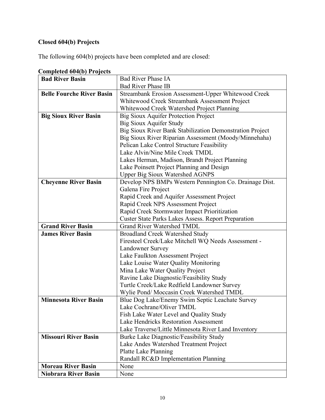# **Closed 604(b) Projects**

The following 604(b) projects have been completed and are closed:

| Completed ov+(v) 1 rojects       |                                                          |
|----------------------------------|----------------------------------------------------------|
| <b>Bad River Basin</b>           | <b>Bad River Phase IA</b>                                |
|                                  | <b>Bad River Phase IB</b>                                |
| <b>Belle Fourche River Basin</b> | Streambank Erosion Assessment-Upper Whitewood Creek      |
|                                  | Whitewood Creek Streambank Assessment Project            |
|                                  | Whitewood Creek Watershed Project Planning               |
| <b>Big Sioux River Basin</b>     | <b>Big Sioux Aquifer Protection Project</b>              |
|                                  | Big Sioux Aquifer Study                                  |
|                                  | Big Sioux River Bank Stabilization Demonstration Project |
|                                  | Big Sioux River Riparian Assessment (Moody/Minnehaha)    |
|                                  | Pelican Lake Control Structure Feasibility               |
|                                  | Lake Alvin/Nine Mile Creek TMDL                          |
|                                  | Lakes Herman, Madison, Brandt Project Planning           |
|                                  | Lake Poinsett Project Planning and Design                |
|                                  | <b>Upper Big Sioux Watershed AGNPS</b>                   |
| <b>Cheyenne River Basin</b>      | Develop NPS BMPs Western Pennington Co. Drainage Dist.   |
|                                  | Galena Fire Project                                      |
|                                  | Rapid Creek and Aquifer Assessment Project               |
|                                  | Rapid Creek NPS Assessment Project                       |
|                                  | Rapid Creek Stormwater Impact Prioritization             |
|                                  | Custer State Parks Lakes Assess. Report Preparation      |
| <b>Grand River Basin</b>         | <b>Grand River Watershed TMDL</b>                        |
| <b>James River Basin</b>         | <b>Broadland Creek Watershed Study</b>                   |
|                                  | Firesteel Creek/Lake Mitchell WQ Needs Assessment -      |
|                                  | <b>Landowner Survey</b>                                  |
|                                  | Lake Faulkton Assessment Project                         |
|                                  | Lake Louise Water Quality Monitoring                     |
|                                  | Mina Lake Water Quality Project                          |
|                                  | Ravine Lake Diagnostic/Feasibility Study                 |
|                                  | Turtle Creek/Lake Redfield Landowner Survey              |
|                                  | Wylie Pond/ Moccasin Creek Watershed TMDL                |
| <b>Minnesota River Basin</b>     | Blue Dog Lake/Enemy Swim Septic Leachate Survey          |
|                                  | Lake Cochrane/Oliver TMDL                                |
|                                  | Fish Lake Water Level and Quality Study                  |
|                                  | Lake Hendricks Restoration Assessment                    |
|                                  | Lake Traverse/Little Minnesota River Land Inventory      |
| <b>Missouri River Basin</b>      | Burke Lake Diagnostic/Feasibility Study                  |
|                                  | Lake Andes Watershed Treatment Project                   |
|                                  | Platte Lake Planning                                     |
|                                  | Randall RC&D Implementation Planning                     |
| <b>Moreau River Basin</b>        | None                                                     |
| <b>Niobrara River Basin</b>      | None                                                     |
|                                  |                                                          |

**Completed 604(b) Projects**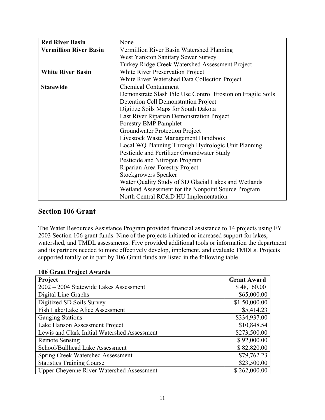| <b>Red River Basin</b>        | None                                                        |
|-------------------------------|-------------------------------------------------------------|
| <b>Vermillion River Basin</b> | Vermillion River Basin Watershed Planning                   |
|                               | West Yankton Sanitary Sewer Survey                          |
|                               | Turkey Ridge Creek Watershed Assessment Project             |
| <b>White River Basin</b>      | <b>White River Preservation Project</b>                     |
|                               | White River Watershed Data Collection Project               |
| <b>Statewide</b>              | <b>Chemical Containment</b>                                 |
|                               | Demonstrate Slash Pile Use Control Erosion on Fragile Soils |
|                               | <b>Detention Cell Demonstration Project</b>                 |
|                               | Digitize Soils Maps for South Dakota                        |
|                               | East River Riparian Demonstration Project                   |
|                               | <b>Forestry BMP Pamphlet</b>                                |
|                               | Groundwater Protection Project                              |
|                               | Livestock Waste Management Handbook                         |
|                               | Local WQ Planning Through Hydrologic Unit Planning          |
|                               | Pesticide and Fertilizer Groundwater Study                  |
|                               | Pesticide and Nitrogen Program                              |
|                               | Riparian Area Forestry Project                              |
|                               | <b>Stockgrowers Speaker</b>                                 |
|                               | Water Quality Study of SD Glacial Lakes and Wetlands        |
|                               | Wetland Assessment for the Nonpoint Source Program          |
|                               | North Central RC&D HU Implementation                        |

# **Section 106 Grant**

The Water Resources Assistance Program provided financial assistance to 14 projects using FY 2003 Section 106 grant funds. Nine of the projects initiated or increased support for lakes, watershed, and TMDL assessments. Five provided additional tools or information the department and its partners needed to more effectively develop, implement, and evaluate TMDLs. Projects supported totally or in part by 106 Grant funds are listed in the following table.

| Project                                          | <b>Grant Award</b> |
|--------------------------------------------------|--------------------|
| 2002 - 2004 Statewide Lakes Assessment           | \$48,160.00        |
| Digital Line Graphs                              | \$65,000.00        |
| Digitized SD Soils Survey                        | \$1 50,000.00      |
| Fish Lake/Lake Alice Assessment                  | \$5,414.23         |
| <b>Gauging Stations</b>                          | \$334,937.00       |
| Lake Hanson Assessment Project                   | \$10,848.54        |
| Lewis and Clark Initial Watershed Assessment     | \$273,500.00       |
| <b>Remote Sensing</b>                            | \$92,000.00        |
| School/Bullhead Lake Assessment                  | \$82,820.00        |
| <b>Spring Creek Watershed Assessment</b>         | \$79,762.23        |
| <b>Statistics Training Course</b>                | \$23,500.00        |
| <b>Upper Cheyenne River Watershed Assessment</b> | \$262,000.00       |

### **106 Grant Project Awards**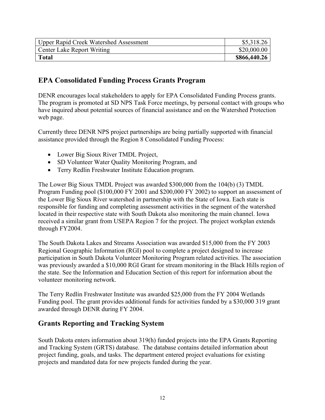| <b>Upper Rapid Creek Watershed Assessment</b> | \$5,318.26   |
|-----------------------------------------------|--------------|
| <b>Center Lake Report Writing</b>             | \$20,000.00  |
| Total                                         | \$866,440.26 |

### **EPA Consolidated Funding Process Grants Program**

DENR encourages local stakeholders to apply for EPA Consolidated Funding Process grants. The program is promoted at SD NPS Task Force meetings, by personal contact with groups who have inquired about potential sources of financial assistance and on the Watershed Protection web page.

Currently three DENR NPS project partnerships are being partially supported with financial assistance provided through the Region 8 Consolidated Funding Process:

- Lower Big Sioux River TMDL Project,
- SD Volunteer Water Quality Monitoring Program, and
- Terry Redlin Freshwater Institute Education program.

The Lower Big Sioux TMDL Project was awarded \$300,000 from the 104(b) (3) TMDL Program Funding pool (\$100,000 FY 2001 and \$200,000 FY 2002) to support an assessment of the Lower Big Sioux River watershed in partnership with the State of Iowa. Each state is responsible for funding and completing assessment activities in the segment of the watershed located in their respective state with South Dakota also monitoring the main channel. Iowa received a similar grant from USEPA Region 7 for the project. The project workplan extends through FY2004.

The South Dakota Lakes and Streams Association was awarded \$15,000 from the FY 2003 Regional Geographic Information (RGI) pool to complete a project designed to increase participation in South Dakota Volunteer Monitoring Program related activities. The association was previously awarded a \$10,000 RGI Grant for stream monitoring in the Black Hills region of the state. See the Information and Education Section of this report for information about the volunteer monitoring network.

The Terry Redlin Freshwater Institute was awarded \$25,000 from the FY 2004 Wetlands Funding pool. The grant provides additional funds for activities funded by a \$30,000 319 grant awarded through DENR during FY 2004.

# **Grants Reporting and Tracking System**

South Dakota enters information about 319(h) funded projects into the EPA Grants Reporting and Tracking System (GRTS) database. The database contains detailed information about project funding, goals, and tasks. The department entered project evaluations for existing projects and mandated data for new projects funded during the year.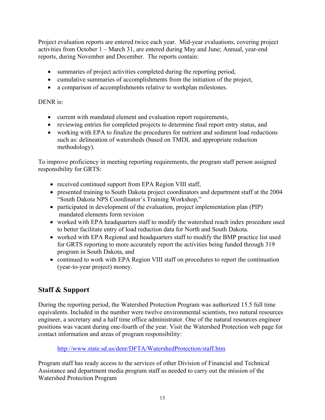Project evaluation reports are entered twice each year. Mid-year evaluations, covering project activities from October 1 – March 31, are entered during May and June; Annual, year-end reports, during November and December. The reports contain:

- summaries of project activities completed during the reporting period,
- cumulative summaries of accomplishments from the initiation of the project,
- a comparison of accomplishments relative to workplan milestones.

### DENR is:

- current with mandated element and evaluation report requirements,
- reviewing entries for completed projects to determine final report entry status, and
- working with EPA to finalize the procedures for nutrient and sediment load reductions such as: delineation of watersheds (based on TMDL and appropriate reduction methodology).

To improve proficiency in meeting reporting requirements, the program staff person assigned responsibility for GRTS:

- received continued support from EPA Region VIII staff,
- presented training to South Dakota project coordinators and department staff at the 2004 "South Dakota NPS Coordinator's Training Workshop,"
- participated in development of the evaluation, project implementation plan (PIP) mandated elements form revision
- worked with EPA headquarters staff to modify the watershed reach index procedure used to better facilitate entry of load reduction data for North and South Dakota.
- worked with EPA Regional and headquarters staff to modify the BMP practice list used for GRTS reporting to more accurately report the activities being funded through 319 program in South Dakota, and
- continued to work with EPA Region VIII staff on procedures to report the continuation (year-to-year project) money.

# **Staff & Support**

During the reporting period, the Watershed Protection Program was authorized 15.5 full time equivalents. Included in the number were twelve environmental scientists, two natural resources engineer, a secretary and a half time office administrator. One of the natural resources engineer positions was vacant during one-fourth of the year. Visit the Watershed Protection web page for contact information and areas of program responsibility:

http://www.state.sd.us/denr/DFTA/WatershedProtection/staff.htm

Program staff has ready access to the services of other Division of Financial and Technical Assistance and department media program staff as needed to carry out the mission of the Watershed Protection Program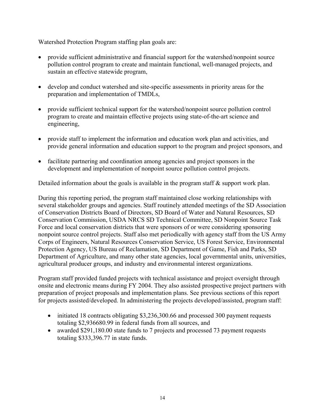Watershed Protection Program staffing plan goals are:

- provide sufficient administrative and financial support for the watershed/nonpoint source pollution control program to create and maintain functional, well-managed projects, and sustain an effective statewide program,
- develop and conduct watershed and site-specific assessments in priority areas for the preparation and implementation of TMDLs,
- provide sufficient technical support for the watershed/nonpoint source pollution control program to create and maintain effective projects using state-of-the-art science and engineering,
- provide staff to implement the information and education work plan and activities, and provide general information and education support to the program and project sponsors, and
- facilitate partnering and coordination among agencies and project sponsors in the development and implementation of nonpoint source pollution control projects.

Detailed information about the goals is available in the program staff & support work plan.

During this reporting period, the program staff maintained close working relationships with several stakeholder groups and agencies. Staff routinely attended meetings of the SD Association of Conservation Districts Board of Directors, SD Board of Water and Natural Resources, SD Conservation Commission, USDA NRCS SD Technical Committee, SD Nonpoint Source Task Force and local conservation districts that were sponsors of or were considering sponsoring nonpoint source control projects. Staff also met periodically with agency staff from the US Army Corps of Engineers, Natural Resources Conservation Service, US Forest Service, Environmental Protection Agency, US Bureau of Reclamation, SD Department of Game, Fish and Parks, SD Department of Agriculture, and many other state agencies, local governmental units, universities, agricultural producer groups, and industry and environmental interest organizations.

Program staff provided funded projects with technical assistance and project oversight through onsite and electronic means during FY 2004. They also assisted prospective project partners with preparation of project proposals and implementation plans. See previous sections of this report for projects assisted/developed. In administering the projects developed/assisted, program staff:

- initiated 18 contracts obligating \$3,236,300.66 and processed 300 payment requests totaling \$2,936680.99 in federal funds from all sources, and
- awarded \$291,180.00 state funds to 7 projects and processed 73 payment requests totaling \$333,396.77 in state funds.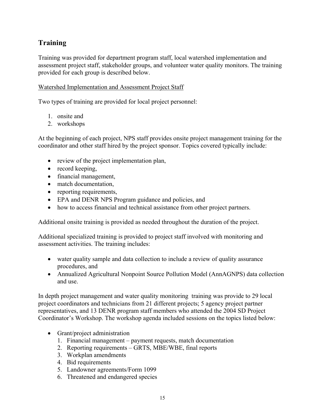# **Training**

Training was provided for department program staff, local watershed implementation and assessment project staff, stakeholder groups, and volunteer water quality monitors. The training provided for each group is described below.

### Watershed Implementation and Assessment Project Staff

Two types of training are provided for local project personnel:

- 1. onsite and
- 2. workshops

At the beginning of each project, NPS staff provides onsite project management training for the coordinator and other staff hired by the project sponsor. Topics covered typically include:

- review of the project implementation plan,
- record keeping,
- financial management,
- match documentation,
- reporting requirements,
- EPA and DENR NPS Program guidance and policies, and
- how to access financial and technical assistance from other project partners.

Additional onsite training is provided as needed throughout the duration of the project.

Additional specialized training is provided to project staff involved with monitoring and assessment activities. The training includes:

- water quality sample and data collection to include a review of quality assurance procedures, and
- Annualized Agricultural Nonpoint Source Pollution Model (AnnAGNPS) data collection and use.

In depth project management and water quality monitoring training was provide to 29 local project coordinators and technicians from 21 different projects; 5 agency project partner representatives, and 13 DENR program staff members who attended the 2004 SD Project Coordinator's Workshop. The workshop agenda included sessions on the topics listed below:

- Grant/project administration
	- 1. Financial management payment requests, match documentation
	- 2. Reporting requirements GRTS, MBE/WBE, final reports
	- 3. Workplan amendments
	- 4. Bid requirements
	- 5. Landowner agreements/Form 1099
	- 6. Threatened and endangered species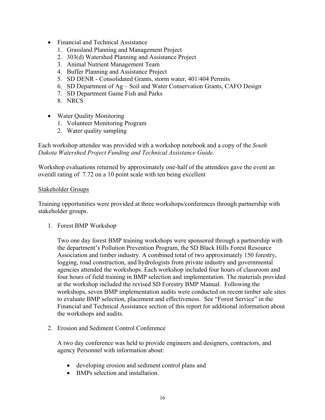- Financial and Technical Assistance
	- 1. Grassland Planning and Management Project
	- 2. 303(d) Watershed Planning and Assistance Project
	- 3. Animal Nutrient Management Team
	- 4. Buffer Planning and Assistance Project
	- 5. SD DENR Consolidated Grants, storm water, 401/404 Permits
	- 6. SD Department of Ag Soil and Water Conservation Grants, CAFO Design
	- 7. SD Department Game Fish and Parks
	- 8. NRCS
- Water Quality Monitoring
	- 1. Volunteer Monitoring Program
	- 2. Water quality sampling

Each workshop attendee was provided with a workshop notebook and a copy of the *South Dakota Watershed Project Funding and Technical Assistance Guide*.

Workshop evaluations returned by approximately one-half of the attendees gave the event an overall rating of 7.72 on a 10 point scale with ten being excellent

#### Stakeholder Groups

Training opportunities were provided at three workshops/conferences through partnership with stakeholder groups.

1. Forest BMP Workshop

Two one day forest BMP training workshops were sponsored through a partnership with the department's Pollution Prevention Program, the SD Black Hills Forest Resource Association and timber industry. A combined total of two approximately 150 forestry, logging, road construction, and hydrologists from private industry and governmental agencies attended the workshops. Each workshop included four hours of classroom and four hours of field training in BMP selection and implementation. The materials provided at the workshop included the revised SD Forestry BMP Manual. Following the workshops, seven BMP implementation audits were conducted on recent timber sale sites to evaluate BMP selection, placement and effectiveness. See "Forest Service" in the Financial and Technical Assistance section of this report for additional information about the workshops and audits.

2. Erosion and Sediment Control Conference

A two day conference was held to provide engineers and designers, contractors, and agency Personnel with information about:

- developing erosion and sediment control plans and
- BMPs selection and installation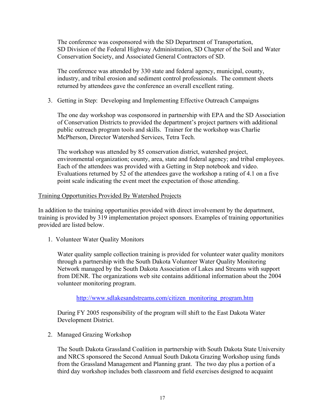The conference was cosponsored with the SD Department of Transportation, SD Division of the Federal Highway Administration, SD Chapter of the Soil and Water Conservation Society, and Associated General Contractors of SD.

The conference was attended by 330 state and federal agency, municipal, county, industry, and tribal erosion and sediment control professionals. The comment sheets returned by attendees gave the conference an overall excellent rating.

### 3. Getting in Step: Developing and Implementing Effective Outreach Campaigns

The one day workshop was cosponsored in partnership with EPA and the SD Association of Conservation Districts to provided the department's project partners with additional public outreach program tools and skills. Trainer for the workshop was Charlie McPherson, Director Watershed Services, Tetra Tech.

The workshop was attended by 85 conservation district, watershed project, environmental organization; county, area, state and federal agency; and tribal employees. Each of the attendees was provided with a Getting in Step notebook and video. Evaluations returned by 52 of the attendees gave the workshop a rating of 4.1 on a five point scale indicating the event meet the expectation of those attending.

### Training Opportunities Provided By Watershed Projects

In addition to the training opportunities provided with direct involvement by the department, training is provided by 319 implementation project sponsors. Examples of training opportunities provided are listed below.

1. Volunteer Water Quality Monitors

Water quality sample collection training is provided for volunteer water quality monitors through a partnership with the South Dakota Volunteer Water Quality Monitoring Network managed by the South Dakota Association of Lakes and Streams with support from DENR. The organizations web site contains additional information about the 2004 volunteer monitoring program.

### http://www.sdlakesandstreams.com/citizen\_monitoring\_program.htm

During FY 2005 responsibility of the program will shift to the East Dakota Water Development District.

2. Managed Grazing Workshop

The South Dakota Grassland Coalition in partnership with South Dakota State University and NRCS sponsored the Second Annual South Dakota Grazing Workshop using funds from the Grassland Management and Planning grant. The two day plus a portion of a third day workshop includes both classroom and field exercises designed to acquaint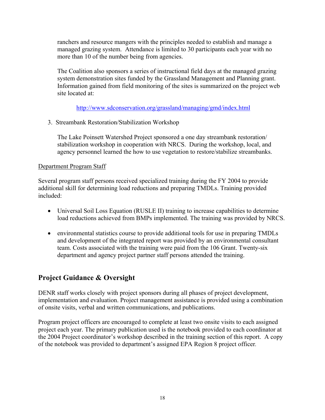ranchers and resource mangers with the principles needed to establish and manage a managed grazing system. Attendance is limited to 30 participants each year with no more than 10 of the number being from agencies.

The Coalition also sponsors a series of instructional field days at the managed grazing system demonstration sites funded by the Grassland Management and Planning grant. Information gained from field monitoring of the sites is summarized on the project web site located at:

http://www.sdconservation.org/grassland/managing/gmd/index.html

3. Streambank Restoration/Stabilization Workshop

The Lake Poinsett Watershed Project sponsored a one day streambank restoration/ stabilization workshop in cooperation with NRCS. During the workshop, local, and agency personnel learned the how to use vegetation to restore/stabilize streambanks.

### Department Program Staff

Several program staff persons received specialized training during the FY 2004 to provide additional skill for determining load reductions and preparing TMDLs. Training provided included:

- Universal Soil Loss Equation (RUSLE II) training to increase capabilities to determine load reductions achieved from BMPs implemented. The training was provided by NRCS.
- environmental statistics course to provide additional tools for use in preparing TMDLs and development of the integrated report was provided by an environmental consultant team. Costs associated with the training were paid from the 106 Grant. Twenty-six department and agency project partner staff persons attended the training.

# **Project Guidance & Oversight**

DENR staff works closely with project sponsors during all phases of project development, implementation and evaluation. Project management assistance is provided using a combination of onsite visits, verbal and written communications, and publications.

Program project officers are encouraged to complete at least two onsite visits to each assigned project each year. The primary publication used is the notebook provided to each coordinator at the 2004 Project coordinator's workshop described in the training section of this report. A copy of the notebook was provided to department's assigned EPA Region 8 project officer*.*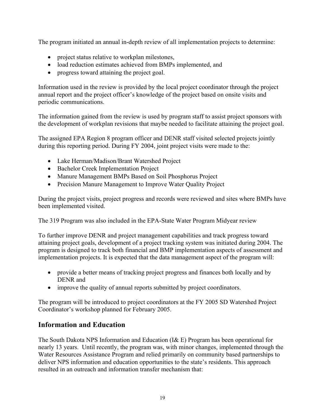The program initiated an annual in-depth review of all implementation projects to determine:

- project status relative to workplan milestones,
- load reduction estimates achieved from BMPs implemented, and
- progress toward attaining the project goal.

Information used in the review is provided by the local project coordinator through the project annual report and the project officer's knowledge of the project based on onsite visits and periodic communications.

The information gained from the review is used by program staff to assist project sponsors with the development of workplan revisions that maybe needed to facilitate attaining the project goal.

The assigned EPA Region 8 program officer and DENR staff visited selected projects jointly during this reporting period. During FY 2004, joint project visits were made to the:

- Lake Herman/Madison/Brant Watershed Project
- Bachelor Creek Implementation Project
- Manure Management BMPs Based on Soil Phosphorus Project
- Precision Manure Management to Improve Water Quality Project

During the project visits, project progress and records were reviewed and sites where BMPs have been implemented visited.

The 319 Program was also included in the EPA-State Water Program Midyear review

To further improve DENR and project management capabilities and track progress toward attaining project goals, development of a project tracking system was initiated during 2004. The program is designed to track both financial and BMP implementation aspects of assessment and implementation projects. It is expected that the data management aspect of the program will:

- provide a better means of tracking project progress and finances both locally and by DENR and
- improve the quality of annual reports submitted by project coordinators.

The program will be introduced to project coordinators at the FY 2005 SD Watershed Project Coordinator's workshop planned for February 2005.

# **Information and Education**

The South Dakota NPS Information and Education (I& E) Program has been operational for nearly 13 years. Until recently, the program was, with minor changes, implemented through the Water Resources Assistance Program and relied primarily on community based partnerships to deliver NPS information and education opportunities to the state's residents. This approach resulted in an outreach and information transfer mechanism that: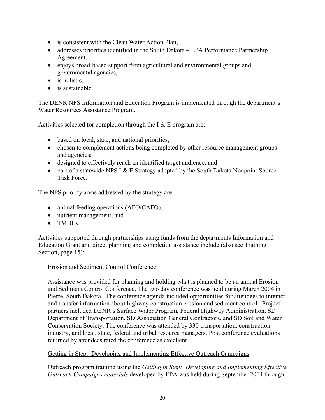- is consistent with the Clean Water Action Plan,
- addresses priorities identified in the South Dakota EPA Performance Partnership Agreement,
- enjoys broad-based support from agricultural and environmental groups and governmental agencies,
- is holistic,
- is sustainable.

The DENR NPS Information and Education Program is implemented through the department's Water Resources Assistance Program.

Activities selected for completion through the I  $&$  E program are:

- based on local, state, and national priorities;
- chosen to complement actions being completed by other resource management groups and agencies;
- designed to effectively reach an identified target audience; and
- part of a statewide NPS I  $& E$  Strategy adopted by the South Dakota Nonpoint Source Task Force.

The NPS priority areas addressed by the strategy are:

- animal feeding operations (AFO/CAFO),
- nutrient management, and
- TMDLs

Activities supported through partnerships using funds from the departments Information and Education Grant and direct planning and completion assistance include (also see Training Section, page 15):

### Erosion and Sediment Control Conference

Assistance was provided for planning and holding what is planned to be an annual Erosion and Sediment Control Conference. The two day conference was held during March 2004 in Pierre, South Dakota. The conference agenda included opportunities for attendees to interact and transfer information about highway construction erosion and sediment control. Project partners included DENR's Surface Water Program, Federal Highway Administration, SD Department of Transportation, SD Association General Contractors, and SD Soil and Water Conservation Society. The conference was attended by 330 transportation, construction industry, and local, state, federal and tribal resource managers. Post conference evaluations returned by attendees rated the conference as excellent.

### Getting in Step: Developing and Implementing Effective Outreach Campaigns

Outreach program training using the *Getting in Step: Developing and Implementing Effective Outreach Campaigns materials* developed by EPA was held during September 2004 through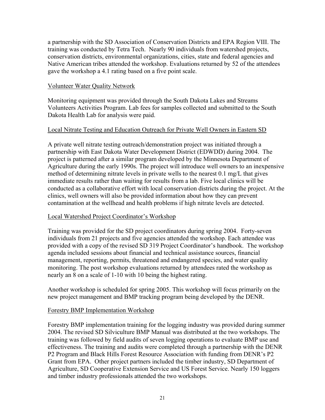a partnership with the SD Association of Conservation Districts and EPA Region VIII. The training was conducted by Tetra Tech. Nearly 90 individuals from watershed projects, conservation districts, environmental organizations, cities, state and federal agencies and Native American tribes attended the workshop. Evaluations returned by 52 of the attendees gave the workshop a 4.1 rating based on a five point scale.

### Volunteer Water Quality Network

Monitoring equipment was provided through the South Dakota Lakes and Streams Volunteers Activities Program. Lab fees for samples collected and submitted to the South Dakota Health Lab for analysis were paid.

### Local Nitrate Testing and Education Outreach for Private Well Owners in Eastern SD

A private well nitrate testing outreach/demonstration project was initiated through a partnership with East Dakota Water Development District (EDWDD) during 2004. The project is patterned after a similar program developed by the Minnesota Department of Agriculture during the early 1990s. The project will introduce well owners to an inexpensive method of determining nitrate levels in private wells to the nearest 0.1 mg/L that gives immediate results rather than waiting for results from a lab. Five local clinics will be conducted as a collaborative effort with local conservation districts during the project. At the clinics, well owners will also be provided information about how they can prevent contamination at the wellhead and health problems if high nitrate levels are detected.

### Local Watershed Project Coordinator's Workshop

Training was provided for the SD project coordinators during spring 2004. Forty-seven individuals from 21 projects and five agencies attended the workshop. Each attendee was provided with a copy of the revised SD 319 Project Coordinator's handbook. The workshop agenda included sessions about financial and technical assistance sources, financial management, reporting, permits, threatened and endangered species, and water quality monitoring. The post workshop evaluations returned by attendees rated the workshop as nearly an 8 on a scale of 1-10 with 10 being the highest rating.

Another workshop is scheduled for spring 2005. This workshop will focus primarily on the new project management and BMP tracking program being developed by the DENR.

### Forestry BMP Implementation Workshop

Forestry BMP implementation training for the logging industry was provided during summer 2004. The revised SD Silviculture BMP Manual was distributed at the two workshops. The training was followed by field audits of seven logging operations to evaluate BMP use and effectiveness. The training and audits were completed through a partnership with the DENR P2 Program and Black Hills Forest Resource Association with funding from DENR's P2 Grant from EPA. Other project partners included the timber industry, SD Department of Agriculture, SD Cooperative Extension Service and US Forest Service. Nearly 150 loggers and timber industry professionals attended the two workshops.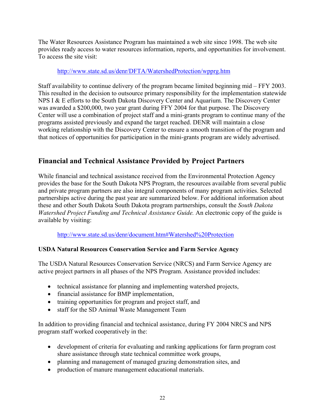The Water Resources Assistance Program has maintained a web site since 1998. The web site provides ready access to water resources information, reports, and opportunities for involvement. To access the site visit:

### http://www.state.sd.us/denr/DFTA/WatershedProtection/wpprg.htm

Staff availability to continue delivery of the program became limited beginning mid – FFY 2003. This resulted in the decision to outsource primary responsibility for the implementation statewide NPS I & E efforts to the South Dakota Discovery Center and Aquarium. The Discovery Center was awarded a \$200,000, two year grant during FFY 2004 for that purpose. The Discovery Center will use a combination of project staff and a mini-grants program to continue many of the programs assisted previously and expand the target reached. DENR will maintain a close working relationship with the Discovery Center to ensure a smooth transition of the program and that notices of opportunities for participation in the mini-grants program are widely advertised.

# **Financial and Technical Assistance Provided by Project Partners**

While financial and technical assistance received from the Environmental Protection Agency provides the base for the South Dakota NPS Program, the resources available from several public and private program partners are also integral components of many program activities. Selected partnerships active during the past year are summarized below. For additional information about these and other South Dakota South Dakota program partnerships, consult the *South Dakota Watershed Project Funding and Technical Assistance Guide.* An electronic copy of the guide is available by visiting:

### http://www.state.sd.us/denr/document.htm#Watershed%20Protection

### **USDA Natural Resources Conservation Service and Farm Service Agency**

The USDA Natural Resources Conservation Service (NRCS) and Farm Service Agency are active project partners in all phases of the NPS Program. Assistance provided includes:

- technical assistance for planning and implementing watershed projects,
- financial assistance for BMP implementation,
- training opportunities for program and project staff, and
- staff for the SD Animal Waste Management Team

In addition to providing financial and technical assistance, during FY 2004 NRCS and NPS program staff worked cooperatively in the:

- development of criteria for evaluating and ranking applications for farm program cost share assistance through state technical committee work groups,
- planning and management of managed grazing demonstration sites, and
- production of manure management educational materials.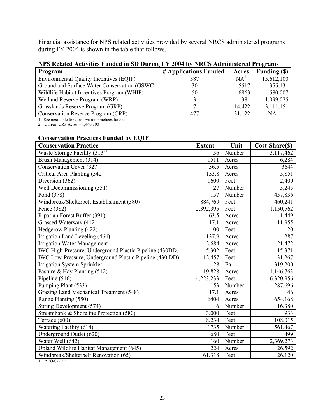Financial assistance for NPS related activities provided by several NRCS administered programs during FY 2004 is shown in the table that follows.

| THEY INTO HUMAN TURNEY FUNDING IN SID DUITING IT I 2004 BY THNUS AUDITIONITY OF FIVER AND |                       |        |                    |  |
|-------------------------------------------------------------------------------------------|-----------------------|--------|--------------------|--|
| Program                                                                                   | # Applications Funded | Acres  | <b>Funding (S)</b> |  |
| Environmental Quality Incentives (EQIP)                                                   | 387                   | NA'    | 15,612,100         |  |
| Ground and Surface Water Conservation (GSWC)                                              | 30                    | 5517   | 355,131            |  |
| Wildlife Habitat Incentives Program (WHIP)                                                | 50                    | 6863   | 580,007            |  |
| Wetland Reserve Program (WRP)                                                             |                       | 1381   | 1,099,025          |  |
| Grasslands Reserve Program (GRP)                                                          |                       | 14,422 | 3,111,151          |  |
| Conservation Reserve Program (CRP)                                                        | 477                   | 31,122 | NA                 |  |

### **NPS Related Activities Funded in SD During FY 2004 by NRCS Administered Programs**

1 - See next table for conservation practices funded. 2 – Current CRP Acres = 1,440,300

### **Conservation Practices Funded by EQIP**

| <b>Conservation Practice</b>                            | <b>Extent</b> | Unit   | Cost-Share(\$) |
|---------------------------------------------------------|---------------|--------|----------------|
| Waste Storage Facility $(313)^1$                        | 36            | Number | 3,117,462      |
| Brush Management (314)                                  | 1511          | Acres  | 6,284          |
| Conservation Cover (327                                 | 36.5          | Acres  | 3644           |
| Critical Area Planting (342)                            | 133.8         | Acres  | 3,851          |
| Diversion (362)                                         | 1600          | Feet   | 2,400          |
| Well Decommissioning (351)                              | 27            | Number | 3,245          |
| Pond (378)                                              | 157           | Number | 457,836        |
| Windbreak/Shelterbelt Establishment (380)               | 884,769       | Feet   | 460,241        |
| Fence (382)                                             | 2,392,395     | Feet   | 1,150,562      |
| Riparian Forest Buffer (391)                            | 63.5          | Acres  | 1,449          |
| Grassed Waterway (412)                                  | 17.1          | Acres  | 11,955         |
| Hedgerow Planting (422)                                 | 100           | Feet   | 20             |
| Irrigation Land Leveling (464)                          | 137.9         | Acres  | 287            |
| <b>Irrigation Water Management</b>                      | 2,684         | Acres  | 21,472         |
| IWC High-Pressure, Underground Plastic Pipeline (430DD) | 5,302         | Feet   | 15,371         |
| IWC Low-Pressure, Underground Plastic Pipeline (430 DD) | 12,457        | Feet   | 31,267         |
| Irrigation System Sprinkler                             | 28            | Ea.    | 319,200        |
| Pasture & Hay Planting (512)                            | 19,828        | Acres  | 1,146,763      |
| Pipeline (516)                                          | 4,223,233     | Feet   | 6,320,956      |
| Pumping Plant (533)                                     | 153           | Number | 287,696        |
| Grazing Land Mechanical Treatment (548)                 | 17.1          | Acres  | 46             |
| Range Planting (550)                                    | 6404          | Acres  | 654,168        |
| Spring Development (574)                                | 6             | Number | 16,380         |
| Streambank & Shoreline Protection (580)                 | 3,000         | Feet   | 933            |
| Terrace (600)                                           | 8,234         | Feet   | 108,015        |
| Watering Facility (614)                                 | 1735          | Number | 561,467        |
| Underground Outlet (620)                                | 680           | Feet   | 499            |
| Water Well (642)                                        | 160           | Number | 2,369,273      |
| Upland Wildlife Habitat Management (645)                | 224           | Acres  | 26,592         |
| Windbreak/Shelterbelt Renovation (65)                   | 61,318        | Feet   | 26,120         |

1 – AFO/CAFO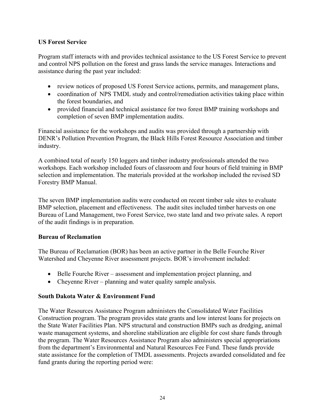### **US Forest Service**

Program staff interacts with and provides technical assistance to the US Forest Service to prevent and control NPS pollution on the forest and grass lands the service manages. Interactions and assistance during the past year included:

- review notices of proposed US Forest Service actions, permits, and management plans,
- coordination of NPS TMDL study and control/remediation activities taking place within the forest boundaries, and
- provided financial and technical assistance for two forest BMP training workshops and completion of seven BMP implementation audits.

Financial assistance for the workshops and audits was provided through a partnership with DENR's Pollution Prevention Program, the Black Hills Forest Resource Association and timber industry.

A combined total of nearly 150 loggers and timber industry professionals attended the two workshops. Each workshop included fours of classroom and four hours of field training in BMP selection and implementation. The materials provided at the workshop included the revised SD Forestry BMP Manual.

The seven BMP implementation audits were conducted on recent timber sale sites to evaluate BMP selection, placement and effectiveness. The audit sites included timber harvests on one Bureau of Land Management, two Forest Service, two state land and two private sales. A report of the audit findings is in preparation.

### **Bureau of Reclamation**

The Bureau of Reclamation (BOR) has been an active partner in the Belle Fourche River Watershed and Cheyenne River assessment projects. BOR's involvement included:

- Belle Fourche River assessment and implementation project planning, and
- Cheyenne River planning and water quality sample analysis.

### **South Dakota Water & Environment Fund**

The Water Resources Assistance Program administers the Consolidated Water Facilities Construction program. The program provides state grants and low interest loans for projects on the State Water Facilities Plan. NPS structural and construction BMPs such as dredging, animal waste management systems, and shoreline stabilization are eligible for cost share funds through the program. The Water Resources Assistance Program also administers special appropriations from the department's Environmental and Natural Resources Fee Fund. These funds provide state assistance for the completion of TMDL assessments. Projects awarded consolidated and fee fund grants during the reporting period were: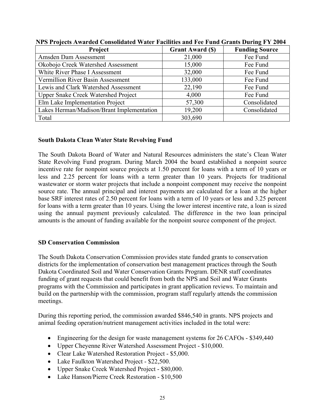| Project                                    | <b>Grant Award (\$)</b> | <b>Funding Source</b> |  |
|--------------------------------------------|-------------------------|-----------------------|--|
| Amsden Dam Assessment                      | 21,000                  | Fee Fund              |  |
| Okobojo Creek Watershed Assessment         | 15,000                  | Fee Fund              |  |
| White River Phase I Assessment             | 32,000                  | Fee Fund              |  |
| Vermillion River Basin Assessment          | 133,000                 | Fee Fund              |  |
| Lewis and Clark Watershed Assessment       | 22,190                  | Fee Fund              |  |
| <b>Upper Snake Creek Watershed Project</b> | 4,000                   | Fee Fund              |  |
| Elm Lake Implementation Project            | 57,300                  | Consolidated          |  |
| Lakes Herman/Madison/Brant Implementation  | 19,200                  | Consolidated          |  |
| Total                                      | 303,690                 |                       |  |

**NPS Projects Awarded Consolidated Water Facilities and Fee Fund Grants During FY 2004** 

### **South Dakota Clean Water State Revolving Fund**

The South Dakota Board of Water and Natural Resources administers the state's Clean Water State Revolving Fund program. During March 2004 the board established a nonpoint source incentive rate for nonpoint source projects at 1.50 percent for loans with a term of 10 years or less and 2.25 percent for loans with a term greater than 10 years. Projects for traditional wastewater or storm water projects that include a nonpoint component may receive the nonpoint source rate. The annual principal and interest payments are calculated for a loan at the higher base SRF interest rates of 2.50 percent for loans with a term of 10 years or less and 3.25 percent for loans with a term greater than 10 years. Using the lower interest incentive rate, a loan is sized using the annual payment previously calculated. The difference in the two loan principal amounts is the amount of funding available for the nonpoint source component of the project.

### **SD Conservation Commission**

The South Dakota Conservation Commission provides state funded grants to conservation districts for the implementation of conservation best management practices through the South Dakota Coordinated Soil and Water Conservation Grants Program. DENR staff coordinates funding of grant requests that could benefit from both the NPS and Soil and Water Grants programs with the Commission and participates in grant application reviews. To maintain and build on the partnership with the commission, program staff regularly attends the commission meetings.

During this reporting period, the commission awarded \$846,540 in grants. NPS projects and animal feeding operation/nutrient management activities included in the total were:

- Engineering for the design for waste management systems for 26 CAFOs \$349,440
- Upper Cheyenne River Watershed Assessment Project \$10,000.
- Clear Lake Watershed Restoration Project \$5,000.
- Lake Faulkton Watershed Project \$22,500.
- Upper Snake Creek Watershed Project \$80,000.
- Lake Hanson/Pierre Creek Restoration \$10,500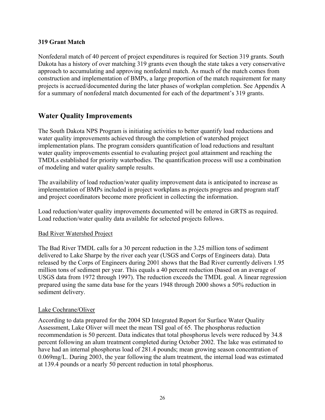### **319 Grant Match**

Nonfederal match of 40 percent of project expenditures is required for Section 319 grants. South Dakota has a history of over matching 319 grants even though the state takes a very conservative approach to accumulating and approving nonfederal match. As much of the match comes from construction and implementation of BMPs, a large proportion of the match requirement for many projects is accrued/documented during the later phases of workplan completion. See Appendix A for a summary of nonfederal match documented for each of the department's 319 grants.

# **Water Quality Improvements**

The South Dakota NPS Program is initiating activities to better quantify load reductions and water quality improvements achieved through the completion of watershed project implementation plans. The program considers quantification of load reductions and resultant water quality improvements essential to evaluating project goal attainment and reaching the TMDLs established for priority waterbodies. The quantification process will use a combination of modeling and water quality sample results.

The availability of load reduction/water quality improvement data is anticipated to increase as implementation of BMPs included in project workplans as projects progress and program staff and project coordinators become more proficient in collecting the information.

Load reduction/water quality improvements documented will be entered in GRTS as required. Load reduction/water quality data available for selected projects follows.

### Bad River Watershed Project

The Bad River TMDL calls for a 30 percent reduction in the 3.25 million tons of sediment delivered to Lake Sharpe by the river each year (USGS and Corps of Engineers data). Data released by the Corps of Engineers during 2001 shows that the Bad River currently delivers 1.95 million tons of sediment per year. This equals a 40 percent reduction (based on an average of USGS data from 1972 through 1997). The reduction exceeds the TMDL goal. A linear regression prepared using the same data base for the years 1948 through 2000 shows a 50% reduction in sediment delivery.

### Lake Cochrane/Oliver

According to data prepared for the 2004 SD Integrated Report for Surface Water Quality Assessment, Lake Oliver will meet the mean TSI goal of 65. The phosphorus reduction recommendation is 50 percent. Data indicates that total phosphorus levels were reduced by 34.8 percent following an alum treatment completed during October 2002. The lake was estimated to have had an internal phosphorus load of 281.4 pounds; mean growing season concentration of 0.069mg/L. During 2003, the year following the alum treatment, the internal load was estimated at 139.4 pounds or a nearly 50 percent reduction in total phosphorus.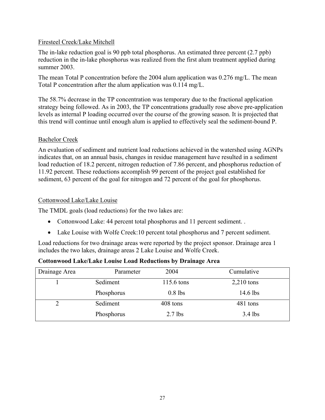### Firesteel Creek/Lake Mitchell

The in-lake reduction goal is 90 ppb total phosphorus. An estimated three percent (2.7 ppb) reduction in the in-lake phosphorus was realized from the first alum treatment applied during summer 2003.

The mean Total P concentration before the 2004 alum application was 0.276 mg/L. The mean Total P concentration after the alum application was 0.114 mg/L.

The 58.7% decrease in the TP concentration was temporary due to the fractional application strategy being followed. As in 2003, the TP concentrations gradually rose above pre-application levels as internal P loading occurred over the course of the growing season. It is projected that this trend will continue until enough alum is applied to effectively seal the sediment-bound P.

### Bachelor Creek

An evaluation of sediment and nutrient load reductions achieved in the watershed using AGNPs indicates that, on an annual basis, changes in residue management have resulted in a sediment load reduction of 18.2 percent, nitrogen reduction of 7.86 percent, and phosphorus reduction of 11.92 percent. These reductions accomplish 99 percent of the project goal established for sediment, 63 percent of the goal for nitrogen and 72 percent of the goal for phosphorus.

### Cottonwood Lake/Lake Louise

The TMDL goals (load reductions) for the two lakes are:

- Cottonwood Lake: 44 percent total phosphorus and 11 percent sediment. .
- Lake Louise with Wolfe Creek: 10 percent total phosphorus and 7 percent sediment.

Load reductions for two drainage areas were reported by the project sponsor. Drainage area 1 includes the two lakes, drainage areas 2 Lake Louise and Wolfe Creek.

### **Cottonwood Lake/Lake Louise Load Reductions by Drainage Area**

| Drainage Area | Parameter  | 2004       | Cumulative   |
|---------------|------------|------------|--------------|
|               | Sediment   | 115.6 tons | $2,210$ tons |
|               | Phosphorus | $0.8$ lbs  | $14.6$ lbs   |
|               | Sediment   | 408 tons   | 481 tons     |
|               | Phosphorus | $2.7$ lbs  | $3.4$ lbs    |